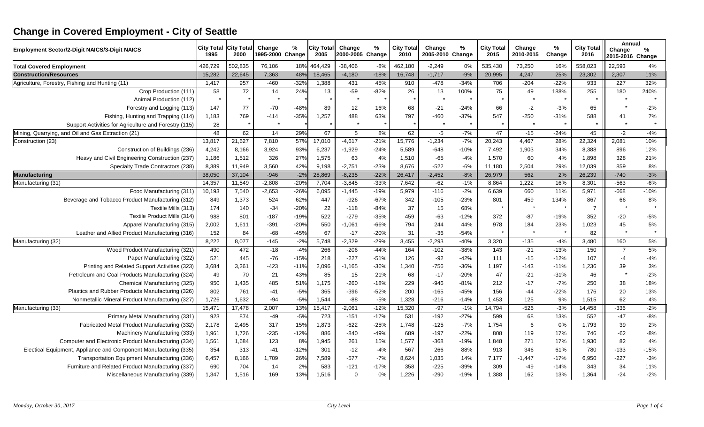## **Change in Covered Employment - City of Seattle**

| <b>Employment Sector/2-Digit NAICS/3-Digit NAICS</b>             | <b>City Total</b><br>1995 | <b>City Tota</b><br>2000 | Change<br>1995-2000 Change | $\%$   | <b>City Total</b><br>2005 | Change<br>2000-2005 Change | $\%$   | <b>City Total</b><br>2010 | Change<br>2005-2010 Change | $\%$   | <b>City Total</b><br>2015 | Change<br>2010-2015 | %<br>Change | <b>City Total</b><br>2016 | Annual<br>Change<br>2015-2016 Change | $\%$   |
|------------------------------------------------------------------|---------------------------|--------------------------|----------------------------|--------|---------------------------|----------------------------|--------|---------------------------|----------------------------|--------|---------------------------|---------------------|-------------|---------------------------|--------------------------------------|--------|
| <b>Total Covered Employment</b>                                  | 426,729                   | 502,835                  | 76,106                     | 18%    | 464,429                   | $-38,406$                  | $-8%$  | 462,180                   | $-2,249$                   | 0%     | 535,430                   | 73,250              | 16%         | 558,023                   | 22,593                               | 4%     |
| <b>Construction/Resources</b>                                    | 15,282                    | 22,645                   | 7,363                      | 48%    | 18,465                    | $-4,180$                   | $-18%$ | 16,748                    | $-1,717$                   | $-9%$  | 20,995                    | 4,247               | 25%         | 23,302                    | 2,307                                | 11%    |
| Agriculture, Forestry, Fishing and Hunting (11)                  | 1,417                     | 957                      | $-460$                     | $-32%$ | 1,388                     | 431                        | 45%    | 910                       | $-478$                     | $-34%$ | 706                       | $-204$              | $-22%$      | 933                       | $\overline{227}$                     | 32%    |
| Crop Production (111)                                            | 58                        | 72                       | 14                         | 24%    | 13                        | $-59$                      | $-82%$ | 26                        | 13                         | 100%   | 75                        | 49                  | 188%        | 255                       | 180                                  | 240%   |
| Animal Production (112)                                          |                           |                          |                            |        |                           |                            |        |                           |                            |        |                           |                     |             |                           |                                      |        |
| Forestry and Logging (113)                                       | 147                       | 77                       | $-70$                      | $-48%$ | 89                        | 12                         | 16%    | 68                        | $-21$                      | $-24%$ | 66                        | $-2$                | $-3%$       | 65                        |                                      | $-2%$  |
| Fishing, Hunting and Trapping (114)                              | 1,183                     | 769                      | $-414$                     | $-35%$ | 1,257                     | 488                        | 63%    | 797                       | $-460$                     | $-37%$ | 547                       | $-250$              | $-31%$      | 588                       | 41                                   | 7%     |
| Support Activities for Agriculture and Forestry (115)            | 28                        |                          |                            |        |                           | $\star$                    |        |                           | $\star$                    |        |                           |                     |             |                           |                                      |        |
| Mining, Quarrying, and Oil and Gas Extraction (21)               | 48                        | 62                       | 14                         | 29%    | 67                        | 5                          | 8%     | 62                        | $-5$                       | $-7%$  | 47                        | $-15$               | $-24%$      | 45                        | $-2$                                 | $-4%$  |
| Construction (23)                                                | 13,817                    | 21,627                   | 7,810                      | 57%    | 17,010                    | $-4,617$                   | $-21%$ | 15,776                    | $-1,234$                   | $-7%$  | 20.243                    | 4,467               | 28%         | 22,324                    | 2,081                                | 10%    |
| Construction of Buildings (236)                                  | 4,242                     | 8,166                    | 3,924                      | 93%    | 6,237                     | $-1,929$                   | $-24%$ | 5,589                     | $-648$                     | $-10%$ | 7,492                     | 1,903               | 34%         | 8,388                     | 896                                  | 12%    |
| Heavy and Civil Engineering Construction (237)                   | 1,186                     | 1,512                    | 326                        | 27%    | 1,575                     | 63                         | 4%     | 1,510                     | $-65$                      | $-4%$  | 1,570                     | 60                  | 4%          | 1,898                     | 328                                  | 21%    |
| Specialty Trade Contractors (238)                                | 8,389                     | 11,949                   | 3,560                      | 42%    | 9,198                     | $-2,751$                   | $-23%$ | 8,676                     | $-522$                     | -6%    | 11,180                    | 2,504               | 29%         | 12,039                    | 859                                  | 8%     |
| Manufacturing                                                    | 38,050                    | 37,104                   | $-946$                     | $-2%$  | 28,869                    | $-8,235$                   | $-22%$ | 26,417                    | $-2,452$                   | $-8%$  | 26,979                    | 562                 | 2%          | 26,239                    | $-740$                               | $-3%$  |
| Manufacturing (31)                                               | 14,357                    | 11,549                   | $-2,808$                   | $-20%$ | 7,704                     | $-3,845$                   | $-33%$ | 7,642                     | $-62$                      | $-1%$  | 8,864                     | 1.222               | 16%         | 8,301                     | $-563$                               | $-6%$  |
| Food Manufacturing (311)                                         | 10,193                    | 7,540                    | $-2,653$                   | $-26%$ | 6,095                     | $-1,445$                   | $-19%$ | 5,979                     | $-116$                     | $-2%$  | 6,639                     | 660                 | 11%         | 5,971                     | $-668$                               | $-10%$ |
| Beverage and Tobacco Product Manufacturing (312)                 | 849                       | 1,373                    | 524                        | 62%    | 447                       | $-926$                     | $-67%$ | 342                       | $-105$                     | $-23%$ | 801                       | 459                 | 134%        | 867                       | 66                                   | 8%     |
| Textile Mills (313)                                              | 174                       | 140                      | $-34$                      | $-20%$ | 22                        | $-118$                     | $-84%$ | 37                        | 15                         | 68%    |                           |                     | $\star$     | $\overline{7}$            |                                      |        |
| Textile Product Mills (314)                                      | 988                       | 801                      | $-187$                     | $-19%$ | 522                       | $-279$                     | $-35%$ | 459                       | $-63$                      | $-12%$ | 372                       | $-87$               | $-19%$      | 352                       | $-20$                                | $-5%$  |
| Apparel Manufacturing (315)                                      | 2,002                     | 1,611                    | $-391$                     | $-20%$ | 550                       | $-1,061$                   | $-66%$ | 794                       | 244                        | 44%    | 978                       | 184                 | 23%         | 1,023                     | 45                                   | 5%     |
| Leather and Allied Product Manufacturing (316)                   | 152                       | 84                       | $-68$                      | $-45%$ | 67                        | $-17$                      | $-20%$ | 31                        | $-36$                      | $-54%$ |                           |                     |             | 82                        |                                      |        |
| Manufacturing (32)                                               | 8,222                     | 8,077                    | $-145$                     | $-2%$  | 5,748                     | $-2,329$                   | $-29%$ | 3,455                     | $-2,293$                   | $-40%$ | 3,320                     | $-135$              | $-4%$       | 3,480                     | 160                                  | 5%     |
| Wood Product Manufacturing (321)                                 | 490                       | 472                      | $-18$                      | $-4%$  | 266                       | $-206$                     | $-44%$ | 164                       | $-102$                     | $-38%$ | 143                       | $-21$               | $-13%$      | 150                       | $\overline{7}$                       | 5%     |
| Paper Manufacturing (322)                                        | 521                       | 445                      | $-76$                      | $-15%$ | 218                       | $-227$                     | $-51%$ | 126                       | $-92$                      | $-42%$ | 111                       | $-15$               | $-12%$      | 107                       | $-4$                                 | $-4%$  |
| Printing and Related Support Activities (323)                    | 3,684                     | 3,261                    | $-423$                     | $-11%$ | 2,096                     | $-1,165$                   | $-36%$ | 1,340                     | $-756$                     | $-36%$ | 1,197                     | $-143$              | $-11%$      | 1,236                     | 39                                   | 3%     |
| Petroleum and Coal Products Manufacturing (324)                  | 49                        | 70                       | 21                         | 43%    | 85                        | 15                         | 21%    | 68                        | $-17$                      | $-20%$ | 47                        | $-21$               | $-31%$      | 46                        |                                      | $-2%$  |
| Chemical Manufacturing (325)                                     | 950                       | 1,435                    | 485                        | 51%    | 1,175                     | $-260$                     | $-18%$ | 229                       | $-946$                     | $-81%$ | 212                       | $-17$               | $-7%$       | 250                       | 38                                   | 18%    |
| Plastics and Rubber Products Manufacturing (326)                 | 802                       | 761                      | $-41$                      | $-5%$  | 365                       | $-396$                     | $-52%$ | 200                       | $-165$                     | $-45%$ | 156                       | $-44$               | $-22%$      | 176                       | 20                                   | 13%    |
| Nonmetallic Mineral Product Manufacturing (327)                  | 1,726                     | 1,632                    | $-94$                      | $-5%$  | 1,544                     | $-88$                      | $-5%$  | 1,328                     | $-216$                     | $-14%$ | 1,453                     | 125                 | 9%          | 1,515                     | 62                                   | 4%     |
| Manufacturing (33)                                               | 15,471                    | 17,478                   | 2,007                      | 13%    | 15,417                    | $-2,061$                   | $-12%$ | 15,320                    | $-97$                      | $-1%$  | 14,794                    | $-526$              | $-3%$       | 14,458                    | $-336$                               | $-2%$  |
| Primary Metal Manufacturing (331)                                | 923                       | 874                      | $-49$                      | $-5%$  | 723                       | $-151$                     | $-17%$ | 531                       | $-192$                     | $-27%$ | 599                       | 68                  | 13%         | 552                       | $-47$                                | $-8%$  |
| Fabricated Metal Product Manufacturing (332)                     | 2,178                     | 2,495                    | 317                        | 15%    | 1,873                     | $-622$                     | $-25%$ | 1,748                     | $-125$                     | $-7%$  | 1,754                     | 6                   | 0%          | 1,793                     | 39                                   | 2%     |
| Machinery Manufacturing (333)                                    | 1,961                     | 1,726                    | $-235$                     | $-12%$ | 886                       | $-840$                     | $-49%$ | 689                       | $-197$                     | $-22%$ | 808                       | 119                 | 17%         | 746                       | $-62$                                | $-8%$  |
| Computer and Electronic Product Manufacturing (334)              | 1,561                     | 1,684                    | 123                        | 8%     | 1,945                     | 261                        | 15%    | 1,577                     | $-368$                     | $-19%$ | 1,848                     | 271                 | 17%         | 1,930                     | 82                                   | 4%     |
| Electical Equipment, Appliance and Component Manufacturing (335) | 354                       | 313                      | $-41$                      | $-12%$ | 301                       | $-12$                      | $-4%$  | 567                       | 266                        | 88%    | 913                       | 346                 | 61%         | 780                       | $-133$                               | $-15%$ |
| Transportation Equipment Manufacturing (336)                     | 6,457                     | 8,166                    | 1,709                      | 26%    | 7,589                     | $-577$                     | $-7%$  | 8,624                     | 1,035                      | 14%    | 7,177                     | $-1,447$            | $-17%$      | 6,950                     | $-227$                               | $-3%$  |
| Furniture and Related Product Manufacturing (337)                | 690                       | 704                      | 14                         | 2%     | 583                       | $-121$                     | $-17%$ | 358                       | $-225$                     | $-39%$ | 309                       | -49                 | $-14%$      | 343                       | 34                                   | 11%    |
| Miscellaneous Manufacturing (339)                                | 1,347                     | 1,516                    | 169                        | 13%    | 1,516                     | $\Omega$                   | $0\%$  | 1,226                     | $-290$                     | $-19%$ | 1,388                     | 162                 | 13%         | 1,364                     | $-24$                                | $-2%$  |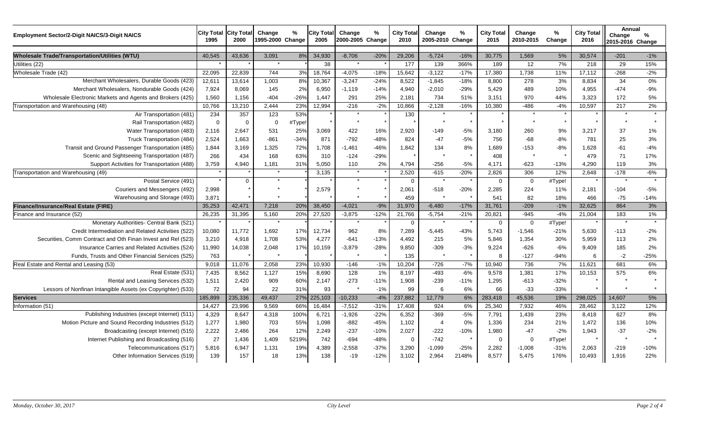| Employment Sector/2-Digit NAICS/3-Digit NAICS                | <b>City Total</b><br>1995 | <b>City Total</b><br>2000 | Change<br>1995-2000 Change | %      | <b>City Total</b><br>2005 | Change<br>2000-2005 Change | %       | <b>City Total</b><br>2010 | %<br>Change<br>2005-2010 Change |         | City Total<br>2015 | Change<br>2010-2015 | %<br>Change | <b>City Total</b><br>2016 | Annual<br>Change<br>2015-2016 Change | %       |
|--------------------------------------------------------------|---------------------------|---------------------------|----------------------------|--------|---------------------------|----------------------------|---------|---------------------------|---------------------------------|---------|--------------------|---------------------|-------------|---------------------------|--------------------------------------|---------|
| <b>Wholesale Trade/Transportation/Utilities (WTU)</b>        | 40.545                    | 43.636                    | 3.091                      | 8%     | 34,930                    | $-8.706$                   | $-20%$  | 29.206                    | $-5,724$                        | $-16%$  | 30.775             | 1.569               | 5%          | 30.574                    | $-201$                               | $-1%$   |
| Utilities (22)                                               |                           |                           | $\star$                    |        | 38                        | $\star$                    |         | 177                       | 139                             | 366%    | 189                | 12                  | 7%          | 218                       | 29                                   | 15%     |
| Wholesale Trade (42)                                         | 22,095                    | 22,839                    | 744                        | 3%     | 18,764                    | $-4,075$                   | $-18%$  | 15,642                    | $-3,122$                        | $-17%$  | 17,380             | 1.738               | 11%         | 17,112                    | $-268$                               | $-2%$   |
| Merchant Wholesalers, Durable Goods (423)                    | 12,611                    | 13,614                    | 1,003                      | 8%     | 10,367                    | $-3,247$                   | $-24%$  | 8,522                     | $-1,845$                        | $-18%$  | 8,800              | 278                 | 3%          | 8,834                     | 34                                   | 0%      |
| Merchant Wholesalers, Nondurable Goods (424)                 | 7,924                     | 8,069                     | 145                        | 2%     | 6,950                     | $-1,119$                   | $-14%$  | 4.940                     | $-2,010$                        | $-29%$  | 5.429              | 489                 | 10%         | 4,955                     | $-474$                               | $-9%$   |
| Wholesale Electronic Markets and Agents and Brokers (425)    | 1,560                     | 1,156                     | $-404$                     | $-26%$ | 1.447                     | 291                        | 25%     | 2.181                     | 734                             | 51%     | 3.151              | 970                 | 44%         | 3.323                     | 172                                  | 5%      |
| Transportation and Warehousing (48)                          | 10,766                    | 13,210                    | 2,444                      | 23%    | 12,994                    | $-216$                     | $-2%$   | 10,866                    | $-2,128$                        | $-16%$  | 10,380             | $-486$              | $-4%$       | 10,597                    | 217                                  | 2%      |
| Air Transportation (481)                                     | 234                       | 357                       | 123                        | 53%    |                           |                            |         | 130                       |                                 |         |                    |                     |             |                           |                                      |         |
| Rail Transportation (482)                                    | $\mathbf 0$               | $\Omega$                  | $\Omega$                   | #Type! |                           | $\star$                    | $\star$ |                           | $\star$                         | $\star$ | $\star$            | $\star$             | $\star$     | $\star$                   |                                      |         |
| Water Transportation (483)                                   | 2,116                     | 2,647                     | 531                        | 25%    | 3,069                     | 422                        | 16%     | 2,920                     | $-149$                          | $-5%$   | 3,180              | 260                 | 9%          | 3,217                     | 37                                   | $1\%$   |
| Truck Transportation (484)                                   | 2,524                     | 1,663                     | $-861$                     | $-34%$ | 871                       | $-792$                     | $-48%$  | 824                       | $-47$                           | $-5%$   | 756                | $-68$               | $-8%$       | 781                       | 25                                   | 3%      |
| Transit and Ground Passenger Transportation (485)            | 1,844                     | 3,169                     | 1,325                      | 72%    | 1,708                     | $-1,461$                   | $-46%$  | 1,842                     | 134                             | 8%      | 1.689              | -153                | $-8%$       | 1,628                     | $-61$                                | $-4%$   |
| Scenic and Sightseeing Transportation (487)                  | 266                       | 434                       | 168                        | 63%    | 310                       | $-124$                     | $-29%$  |                           |                                 |         | 408                |                     |             | 479                       | 71                                   | 17%     |
| Support Activities for Transportation (488)                  | 3,759                     | 4,940                     | 1,181                      | 31%    | 5,050                     | 110                        | 2%      | 4,794                     | $-256$                          | $-5%$   | 4,171              | $-623$              | $-13%$      | 4,290                     | 119                                  | 3%      |
| Transportation and Warehousing (49)                          |                           |                           | $\star$                    |        | 3,135                     | $\star$                    |         | 2,520                     | $-615$                          | $-20%$  | 2,826              | 306                 | 12%         | 2,648                     | $-178$                               | $-6%$   |
| Postal Service (491)                                         |                           | $\Omega$                  | $\star$                    |        |                           | $\star$                    |         | $\Omega$                  | $\star$                         |         | $\Omega$           | $\mathbf 0$         | #Type!      | $\star$                   |                                      | $\star$ |
| Couriers and Messengers (492)                                | 2,998                     |                           |                            |        | 2,579                     |                            |         | 2,061                     | $-518$                          | $-20%$  | 2.285              | 224                 | 11%         | 2,181                     | $-104$                               | $-5%$   |
| Warehousing and Storage (493)                                | 3,871                     |                           |                            |        |                           |                            |         | 459                       |                                 |         | 541                | 82                  | 18%         | 466                       | $-75$                                | $-14%$  |
| Finance/Insurance/Real Estate (FIRE)                         | 35,253                    | 42,471                    | 7,218                      | 20%    | 38,450                    | $-4,021$                   | $-9%$   | 31,970                    | $-6,480$                        | $-17%$  | 31,761             | $-209$              | $-1%$       | 32,625                    | 864                                  | 3%      |
| Finance and Insurance (52)                                   | 26,235                    | 31,395                    | 5,160                      | 20%    | 27,520                    | $-3,875$                   | $-12%$  | 21,766                    | $-5,754$                        | $-21%$  | 20,821             | $-945$              | $-4%$       | 21,004                    | 183                                  | 1%      |
| Monetary Authorities- Central Bank (521)                     |                           |                           | $\star$                    |        |                           | $\star$                    |         | $\Omega$                  | $\star$                         | $\star$ | $\Omega$           | $\mathbf 0$         | #Type!      |                           |                                      | $\star$ |
| Credit Intermediation and Related Activities (522)           | 10,080                    | 11,772                    | 1,692                      | 17%    | 12,734                    | 962                        | 8%      | 7,289                     | $-5,445$                        | $-43%$  | 5,743              | $-1,546$            | $-21%$      | 5,630                     | $-113$                               | $-2%$   |
| Securities, Comm Contract and Oth Finan Invest and Rel (523) | 3,210                     | 4,918                     | 1.708                      | 53%    | 4.277                     | $-641$                     | $-13%$  | 4.492                     | 215                             | 5%      | 5.846              | 1.354               | 30%         | 5.959                     | 113                                  | 2%      |
| Insurance Carries and Related Activities (524)               | 11,990                    | 14,038                    | 2,048                      | 17%    | 10,159                    | $-3,879$                   | $-28%$  | 9,850                     | -309                            | $-3%$   | 9,224              | $-626$              | $-6%$       | 9,409                     | 185                                  | 2%      |
| Funds, Trusts and Other Financial Services (525)             | 763                       |                           |                            |        |                           |                            |         | 135                       | $\star$                         | $\star$ | 8                  | $-127$              | $-94%$      | 6                         | $-2$                                 | $-25%$  |
| Real Estate and Rental and Leasing (53)                      | 9,018                     | 11,076                    | 2,058                      | 23%    | 10,930                    | $-146$                     | $-1%$   | 10,204                    | $-726$                          | $-7%$   | 10,940             | 736                 | 7%          | 11,621                    | 681                                  | 6%      |
| Real Estate (531)                                            | 7,435                     | 8,562                     | 1,127                      | 15%    | 8,690                     | 128                        | 1%      | 8,197                     | $-493$                          | $-6%$   | 9,578              | 1,381               | 17%         | 10,153                    | 575                                  | 6%      |
| Rental and Leasing Services (532)                            | 1,511                     | 2,420                     | 909                        | 60%    | 2,147                     | $-273$                     | $-11%$  | 1,908                     | $-239$                          | $-11%$  | 1.295              | $-613$              | $-32%$      |                           |                                      |         |
| Lessors of Nonfinan Intangible Assets (ex Copyrighter) (533) | 72                        | 94                        | 22                         | 31%    | 93                        |                            | $-1%$   | 99                        | 6                               | 6%      | 66                 | $-33$               | $-33%$      |                           |                                      |         |
| <b>Services</b>                                              | 185,899                   | 235,336                   | 49,437                     | 27%    | 225,103                   | $-10,233$                  | $-4%$   | 237,882                   | 12,779                          | 6%      | 283,418            | 45,536              | 19%         | 298,025                   | 14,607                               | 5%      |
| Information (51)                                             | 14,427                    | 23,996                    | 9,569                      | 66%    | 16,484                    | $-7,512$                   | $-31%$  | 17,408                    | 924                             | 6%      | 25,340             | 7,932               | 46%         | 28,462                    | 3,122                                | 12%     |
| Publishing Industries (except Internet) (511)                | 4,329                     | 8,647                     | 4,318                      | 100%   | 6,721                     | $-1,926$                   | $-22%$  | 6,352                     | $-369$                          | $-5%$   | 7,791              | 1,439               | 23%         | 8,418                     | 627                                  | 8%      |
| Motion Picture and Sound Recording Industries (512)          | 1,277                     | 1,980                     | 703                        | 55%    | 1,098                     | $-882$                     | $-45%$  | 1,102                     | $\overline{4}$                  | 0%      | 1,336              | 234                 | 21%         | 1,472                     | 136                                  | 10%     |
| Broadcasting (except Internet) (515)                         | 2,222                     | 2,486                     | 264                        | 12%    | 2,249                     | $-237$                     | $-10%$  | 2,027                     | $-222$                          | $-10%$  | 1,980              | $-47$               | $-2%$       | 1,943                     | $-37$                                | $-2%$   |
| Internet Publishing and Broadcasting (516)                   | 27                        | 1,436                     | 1,409                      | 5219%  | 742                       | $-694$                     | $-48%$  | $\overline{0}$            | $-742$                          |         | $\mathbf 0$        | $\mathbf 0$         | #Type!      |                           |                                      |         |
| Telecommunications (517)                                     | 5,816                     | 6,947                     | 1,131                      | 19%    | 4,389                     | $-2,558$                   | $-37%$  | 3,290                     | $-1,099$                        | $-25%$  | 2,282              | $-1,008$            | $-31%$      | 2,063                     | $-219$                               | $-10%$  |
| Other Information Services (519)                             | 139                       | 157                       | 18                         | 13%    | 138                       | $-19$                      | $-12%$  | 3,102                     | 2,964                           | 2148%   | 8.577              | 5,475               | 176%        | 10,493                    | 1,916                                | 22%     |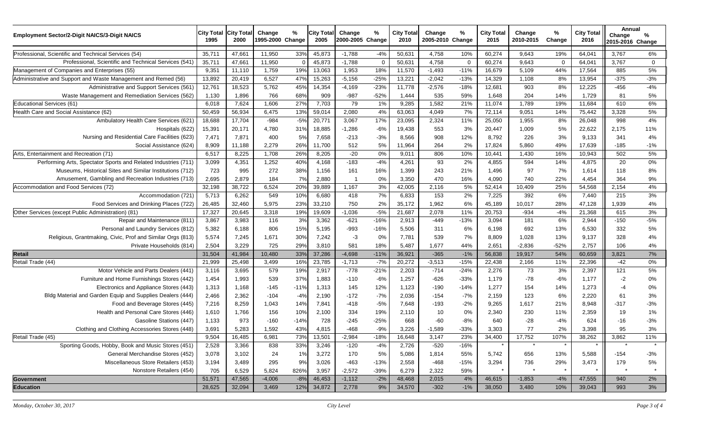| <b>Employment Sector/2-Digit NAICS/3-Digit NAICS</b>           | <b>City Total</b><br>1995 | <b>City Tota</b><br>2000 | Change<br>1995-2000 Change | %          | <b>City Total</b><br>2005 | Change<br>2000-2005 Change | %           | <b>City Total</b><br>2010 | Change<br>2005-2010 Change | %           | <b>City Total</b><br>2015 | Change<br>2010-2015 | %<br>Change | <b>City Total</b><br>2016 | Annual<br>Change<br>2015-2016 Change | %           |
|----------------------------------------------------------------|---------------------------|--------------------------|----------------------------|------------|---------------------------|----------------------------|-------------|---------------------------|----------------------------|-------------|---------------------------|---------------------|-------------|---------------------------|--------------------------------------|-------------|
| Professional, Scientific and Technical Services (54)           | 35,711                    | 47,661                   | 11,950                     | 33%        | 45,873                    | $-1,788$                   | $-4%$       | 50,631                    | 4,758                      | 10%         | 60,274                    | 9,643               | 19%         | 64,041                    | 3,767                                | 6%          |
| Professional, Scientific and Technical Services (541)          | 35,711                    | 47,661                   | 11,950                     | $\sqrt{ }$ | 45,873                    | $-1,788$                   | $\mathbf 0$ | 50,631                    | 4,758                      | $\mathbf 0$ | 60,274                    | 9,643               | 0           | 64,041                    | 3,767                                | $\mathbf 0$ |
| Management of Companies and Enterprises (55)                   | 9,351                     | 11,110                   | 1,759                      | 19%        | 13,063                    | 1,953                      | 18%         | 11,570                    | $-1,493$                   | $-11%$      | 16,679                    | 5,109               | 44%         | 17,564                    | 885                                  | 5%          |
| Administrative and Support and Waste Management and Remed (56) | 13,892                    | 20,419                   | 6,527                      | 47%        | 15,263                    | $-5,156$                   | $-25%$      | 13,221                    | $-2,042$                   | $-13%$      | 14,329                    | 1,108               | 8%          | 13,954                    | $-375$                               | $-3%$       |
| Administrative and Support Services (561)                      | 12,761                    | 18,523                   | 5,762                      | 45%        | 14,354                    | $-4,169$                   | $-23%$      | 11,778                    | $-2,576$                   | $-18%$      | 12,681                    | 903                 | 8%          | 12,225                    | $-456$                               | $-4%$       |
| Waste Management and Remediation Services (562)                | 1,130                     | 1,896                    | 766                        | 68%        | 909                       | $-987$                     | $-52%$      | 1,444                     | 535                        | 59%         | 1,648                     | 204                 | 14%         | 1,729                     | 81                                   | 5%          |
| <b>Educational Services (61)</b>                               | 6,018                     | 7,624                    | 1,606                      | 27%        | 7,703                     | 79                         | 1%          | 9,285                     | 1,582                      | 21%         | 11,074                    | 1,789               | 19%         | 11,684                    | 610                                  | 6%          |
| Health Care and Social Assistance (62)                         | 50,459                    | 56,934                   | 6,475                      | 13%        | 59,014                    | 2,080                      | 4%          | 63,063                    | 4,049                      | 7%          | 72,114                    | 9,051               | 14%         | 75,442                    | 3,328                                | 5%          |
| Ambulatory Health Care Services (621)                          | 18,688                    | 17,704                   | $-984$                     | $-5%$      | 20,771                    | 3,067                      | 17%         | 23,095                    | 2,324                      | 11%         | 25,050                    | 1,955               | 8%          | 26,048                    | 998                                  | 4%          |
| Hospitals (622)                                                | 15,391                    | 20,171                   | 4,780                      | 31%        | 18,885                    | $-1,286$                   | $-6%$       | 19,438                    | 553                        | 3%          | 20,447                    | 1,009               | 5%          | 22,622                    | 2,175                                | 11%         |
| Nursing and Residential Care Facilities (623)                  | 7,471                     | 7,871                    | 400                        | 5%         | 7,658                     | $-213$                     | $-3%$       | 8,566                     | 908                        | 12%         | 8,792                     | 226                 | 3%          | 9,133                     | 341                                  | 4%          |
| Social Assistance (624)                                        | 8,909                     | 11,188                   | 2,279                      | 26%        | 11,700                    | 512                        | 5%          | 11,964                    | 264                        | 2%          | 17,824                    | 5,860               | 49%         | 17,639                    | $-185$                               | $-1%$       |
| Arts, Entertainment and Recreation (71)                        | 6,517                     | 8,225                    | 1,708                      | 26%        | 8,205                     | $-20$                      | 0%          | 9,011                     | 806                        | 10%         | 10,441                    | 1,430               | 16%         | 10,943                    | 502                                  | 5%          |
| Performing Arts, Spectator Sports and Related Industries (711) | 3,099                     | 4,351                    | 1,252                      | 40%        | 4,168                     | $-183$                     | $-4%$       | 4,261                     | 93                         | 2%          | 4,855                     | 594                 | 14%         | 4,875                     | 20                                   | 0%          |
| Museums, Historical Sites and Similar Institutions (712)       | 723                       | 995                      | 272                        | 38%        | 1,156                     | 161                        | 16%         | 1,399                     | 243                        | 21%         | 1,496                     | 97                  | 7%          | 1,614                     | 118                                  | 8%          |
| Amusement, Gambling and Recreation Industries (713)            | 2,695                     | 2,879                    | 184                        | 7%         | 2,880                     | -1                         | 0%          | 3,350                     | 470                        | 16%         | 4,090                     | 740                 | 22%         | 4,454                     | 364                                  | 9%          |
| Accommodation and Food Services (72)                           | 32,198                    | 38,722                   | 6,524                      | 20%        | 39,889                    | 1,167                      | 3%          | 42,005                    | 2,116                      | 5%          | 52,414                    | 10,409              | 25%         | 54,568                    | 2,154                                | 4%          |
| Accommodation (721)                                            | 5,713                     | 6,262                    | 549                        | 10%        | 6,680                     | 418                        | 7%          | 6,833                     | 153                        | 2%          | 7,225                     | 392                 | 6%          | 7,440                     | 215                                  | 3%          |
| Food Services and Drinking Places (722)                        | 26,485                    | 32,460                   | 5,975                      | 23%        | 33,210                    | 750                        | 2%          | 35,172                    | 1,962                      | 6%          | 45,189                    | 10,017              | 28%         | 47,128                    | 1,939                                | 4%          |
| Other Services (except Public Administration) (81)             | 17,327                    | 20,645                   | 3,318                      | 19%        | 19,609                    | $-1,036$                   | $-5%$       | 21,687                    | 2,078                      | 11%         | 20,753                    | $-934$              | $-4%$       | 21,368                    | 615                                  | 3%          |
| Repair and Maintenance (811)                                   | 3,867                     | 3,983                    | 116                        | 3%         | 3,362                     | $-621$                     | $-16%$      | 2,913                     | -449                       | $-13%$      | 3,094                     | 181                 | 6%          | 2,944                     | $-150$                               | $-5%$       |
| Personal and Laundry Services (812)                            | 5,382                     | 6,188                    | 806                        | 15%        | 5,195                     | $-993$                     | $-16%$      | 5,506                     | 311                        | 6%          | 6,198                     | 692                 | 13%         | 6,530                     | 332                                  | 5%          |
| Religious, Grantmaking, Civic, Prof and Similar Orgs (813)     | 5,574                     | 7,245                    | 1,671                      | 30%        | 7,242                     | $-3$                       | 0%          | 7,781                     | 539                        | 7%          | 8,809                     | 1,028               | 13%         | 9,137                     | 328                                  | 4%          |
| Private Households (814)                                       | 2,504                     | 3,229                    | 725                        | 29%        | 3,810                     | 581                        | 18%         | 5,487                     | 1,677                      | 44%         | 2,651                     | $-2,836$            | $-52%$      | 2,757                     | 106                                  | 4%          |
| Retail                                                         | 31,504                    | 41,984                   | 10,480                     | 33%        | 37,286                    | $-4,698$                   | $-11%$      | 36,921                    | $-365$                     | $-1%$       | 56,838                    | 19,917              | 54%         | 60,659                    | 3,821                                | 7%          |
| Retail Trade (44)                                              | 21,999                    | 25,498                   | 3,499                      | 16%        | 23,785                    | $-1,713$                   | $-7%$       | 20,272                    | $-3,513$                   | $-15%$      | 22,438                    | 2,166               | 11%         | 22,396                    | $-42$                                | 0%          |
| Motor Vehicle and Parts Dealers (441)                          | 3,116                     | 3,695                    | 579                        | 19%        | 2,917                     | $-778$                     | $-21%$      | 2,203                     | $-714$                     | $-24%$      | 2,276                     | 73                  | 3%          | 2,397                     | 121                                  | 5%          |
| Furniture and Home Furnishings Stores (442)                    | 1,454                     | 1,993                    | 539                        | 37%        | 1,883                     | $-110$                     | $-6%$       | 1,257                     | $-626$                     | $-33%$      | 1,179                     | $-78$               | $-6%$       | 1,177                     | $-2$                                 | 0%          |
| Electronics and Appliance Stores (443)                         | 1,313                     | 1,168                    | $-145$                     | $-11%$     | 1,313                     | 145                        | 12%         | 1,123                     | $-190$                     | $-14%$      | 1,277                     | 154                 | 14%         | 1,273                     | $-4$                                 | 0%          |
| Bldg Material and Garden Equip and Supplies Dealers (444)      | 2,466                     | 2,362                    | $-104$                     | $-4%$      | 2,190                     | $-172$                     | $-7%$       | 2,036                     | $-154$                     | $-7%$       | 2,159                     | 123                 | 6%          | 2,220                     | 61                                   | 3%          |
| Food and Beverage Stores (445)                                 | 7,216                     | 8,259                    | 1,043                      | 14%        | 7,841                     | $-418$                     | $-5%$       | 7,648                     | $-193$                     | $-2%$       | 9,265                     | 1,617               | 21%         | 8,948                     | $-317$                               | $-3%$       |
| Health and Personal Care Stores (446)                          | 1,610                     | 1,766                    | 156                        | 10%        | 2,100                     | 334                        | 19%         | 2,110                     | 10                         | 0%          | 2,340                     | 230                 | 11%         | 2,359                     | 19                                   | 1%          |
| Gasoline Stations (447)                                        | 1,133                     | 973                      | $-160$                     | $-14%$     | 728                       | $-245$                     | $-25%$      | 668                       | $-60$                      | $-8%$       | 640                       | -28                 | $-4%$       | 624                       | $-16$                                | $-3%$       |
| Clothing and Clothing Accessories Stores (448)                 | 3,691                     | 5,283                    | 1,592                      | 43%        | 4,815                     | $-468$                     | $-9%$       | 3,226                     | $-1,589$                   | $-33%$      | 3,303                     | 77                  | 2%          | 3,398                     | 95                                   | 3%          |
| Retail Trade (45)                                              | 9,504                     | 16,485                   | 6,981                      | 73%        | 13,501                    | $-2,984$                   | $-18%$      | 16,648                    | 3,147                      | 23%         | 34,400                    | 17,752              | 107%        | 38,262                    | 3,862                                | 11%         |
| Sporting Goods, Hobby, Book and Music Stores (451)             | 2,528                     | 3,366                    | 838                        | 33%        | 3,246                     | $-120$                     | $-4%$       | 2,726                     | $-520$                     | $-16%$      |                           |                     |             |                           |                                      |             |
| General Merchandise Stores (452)                               | 3,078                     | 3,102                    | 24                         | 1%         | 3,272                     | 170                        | 5%          | 5,086                     | 1,814                      | 55%         | 5,742                     | 656                 | 13%         | 5,588                     | -154                                 | $-3%$       |
| Miscellaneous Store Retailers (453)                            | 3,194                     | 3,489                    | 295                        | 9%         | 3,026                     | $-463$                     | $-13%$      | 2,558                     | $-468$                     | $-15%$      | 3,294                     | 736                 | 29%         | 3,473                     | 179                                  | 5%          |
| Nonstore Retailers (454)                                       | 705                       | 6,529                    | 5,824                      | 826%       | 3,957                     | $-2,572$                   | $-39%$      | 6,279                     | 2,322                      | 59%         |                           |                     |             |                           |                                      |             |
| <b>Government</b>                                              | 51,571                    | 47,565                   | $-4,006$                   | $-8%$      | 46,453                    | $-1,112$                   | $-2%$       | 48,468                    | 2,015                      | 4%          | 46,615                    | $-1,853$            | $-4%$       | 47,555                    | 940                                  | 2%          |
| <b>Education</b>                                               | 28,625                    | 32,094                   | 3,469                      | 12%        | 34,872                    | 2,778                      | $9\%$       | 34,570                    | $-302$                     | $-1%$       | 38,050                    | 3,480               | 10%         | 39,043                    | 993                                  | 3%          |